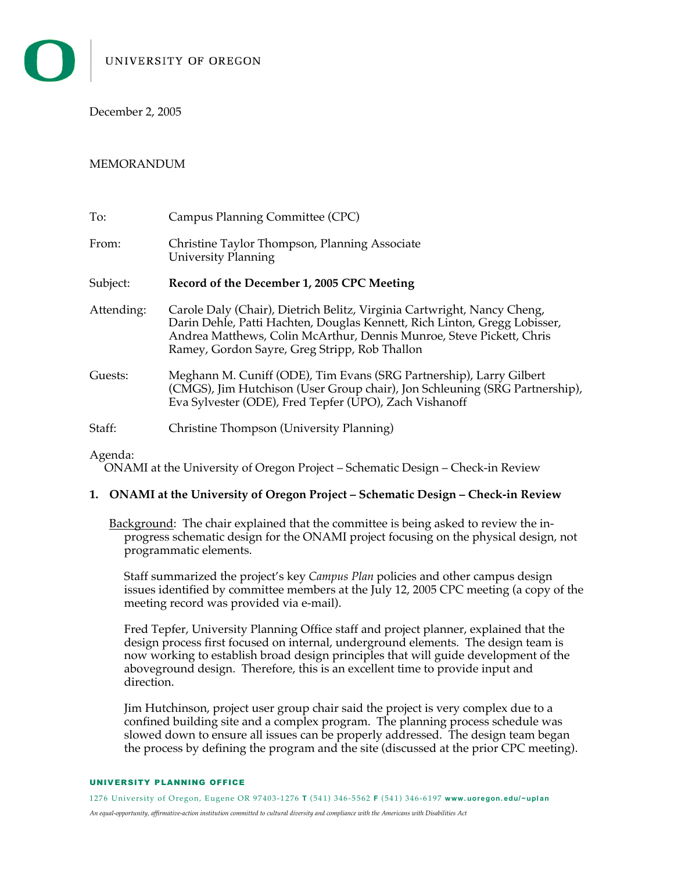December 2, 2005

## MEMORANDUM

| To:        | Campus Planning Committee (CPC)                                                                                                                                                                                                                                               |
|------------|-------------------------------------------------------------------------------------------------------------------------------------------------------------------------------------------------------------------------------------------------------------------------------|
| From:      | Christine Taylor Thompson, Planning Associate<br><b>University Planning</b>                                                                                                                                                                                                   |
| Subject:   | Record of the December 1, 2005 CPC Meeting                                                                                                                                                                                                                                    |
| Attending: | Carole Daly (Chair), Dietrich Belitz, Virginia Cartwright, Nancy Cheng,<br>Darin Dehle, Patti Hachten, Douglas Kennett, Rich Linton, Gregg Lobisser,<br>Andrea Matthews, Colin McArthur, Dennis Munroe, Steve Pickett, Chris<br>Ramey, Gordon Sayre, Greg Stripp, Rob Thallon |
| Guests:    | Meghann M. Cuniff (ODE), Tim Evans (SRG Partnership), Larry Gilbert<br>(CMGS), Jim Hutchison (User Group chair), Jon Schleuning (SRG Partnership),<br>Eva Sylvester (ODE), Fred Tepfer (UPO), Zach Vishanoff                                                                  |
| Staff:     | Christine Thompson (University Planning)                                                                                                                                                                                                                                      |

## Agenda:

ONAMI at the University of Oregon Project – Schematic Design – Check-in Review

## **1. ONAMI at the University of Oregon Project – Schematic Design – Check-in Review**

Background: The chair explained that the committee is being asked to review the inprogress schematic design for the ONAMI project focusing on the physical design, not programmatic elements.

Staff summarized the project's key *Campus Plan* policies and other campus design issues identified by committee members at the July 12, 2005 CPC meeting (a copy of the meeting record was provided via e-mail).

Fred Tepfer, University Planning Office staff and project planner, explained that the design process first focused on internal, underground elements. The design team is now working to establish broad design principles that will guide development of the aboveground design. Therefore, this is an excellent time to provide input and direction.

Jim Hutchinson, project user group chair said the project is very complex due to a confined building site and a complex program. The planning process schedule was slowed down to ensure all issues can be properly addressed. The design team began the process by defining the program and the site (discussed at the prior CPC meeting).

## UNIVERSITY PLANNING OFFICE

1276 Univers ity of Oregon, Eugene OR 97403-1 276 **T** (54 1) 346-5 562 **F** (54 1) 346-6 197 **www. uoregon. edu/~upl an**

*An equal-opportunity, affirmative-action institution committed to cultural diversity and compliance with the Americans with Disabilities Act*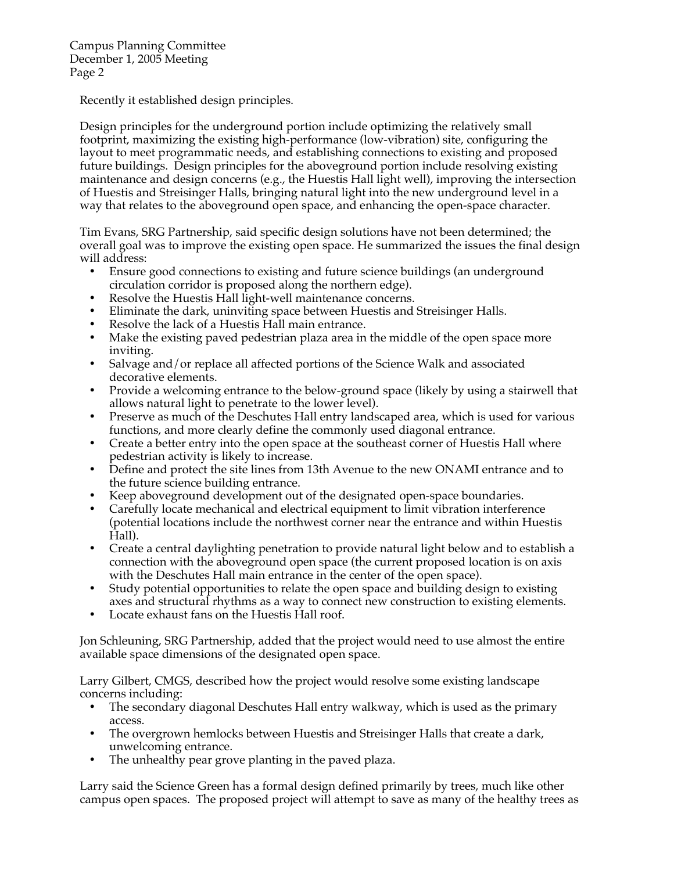Campus Planning Committee December 1, 2005 Meeting Page 2

Recently it established design principles.

Design principles for the underground portion include optimizing the relatively small footprint, maximizing the existing high-performance (low-vibration) site, configuring the layout to meet programmatic needs, and establishing connections to existing and proposed future buildings. Design principles for the aboveground portion include resolving existing maintenance and design concerns (e.g., the Huestis Hall light well), improving the intersection of Huestis and Streisinger Halls, bringing natural light into the new underground level in a way that relates to the aboveground open space, and enhancing the open-space character.

Tim Evans, SRG Partnership, said specific design solutions have not been determined; the overall goal was to improve the existing open space. He summarized the issues the final design will address:

- Ensure good connections to existing and future science buildings (an underground circulation corridor is proposed along the northern edge).
- Resolve the Huestis Hall light-well maintenance concerns.
- Eliminate the dark, uninviting space between Huestis and Streisinger Halls.
- Resolve the lack of a Huestis Hall main entrance.
- Make the existing paved pedestrian plaza area in the middle of the open space more inviting.
- Salvage and/or replace all affected portions of the Science Walk and associated decorative elements.
- Provide a welcoming entrance to the below-ground space (likely by using a stairwell that allows natural light to penetrate to the lower level).
- Preserve as much of the Deschutes Hall entry landscaped area, which is used for various functions, and more clearly define the commonly used diagonal entrance.
- Create a better entry into the open space at the southeast corner of Huestis Hall where pedestrian activity is likely to increase.
- Define and protect the site lines from 13th Avenue to the new ONAMI entrance and to the future science building entrance.
- Keep aboveground development out of the designated open-space boundaries.
- Carefully locate mechanical and electrical equipment to limit vibration interference (potential locations include the northwest corner near the entrance and within Huestis Hall).
- Create a central daylighting penetration to provide natural light below and to establish a connection with the aboveground open space (the current proposed location is on axis with the Deschutes Hall main entrance in the center of the open space).
- Study potential opportunities to relate the open space and building design to existing axes and structural rhythms as a way to connect new construction to existing elements.
- Locate exhaust fans on the Huestis Hall roof.

Jon Schleuning, SRG Partnership, added that the project would need to use almost the entire available space dimensions of the designated open space.

Larry Gilbert, CMGS, described how the project would resolve some existing landscape concerns including:

- The secondary diagonal Deschutes Hall entry walkway, which is used as the primary access.
- The overgrown hemlocks between Huestis and Streisinger Halls that create a dark, unwelcoming entrance.
- The unhealthy pear grove planting in the paved plaza.

Larry said the Science Green has a formal design defined primarily by trees, much like other campus open spaces. The proposed project will attempt to save as many of the healthy trees as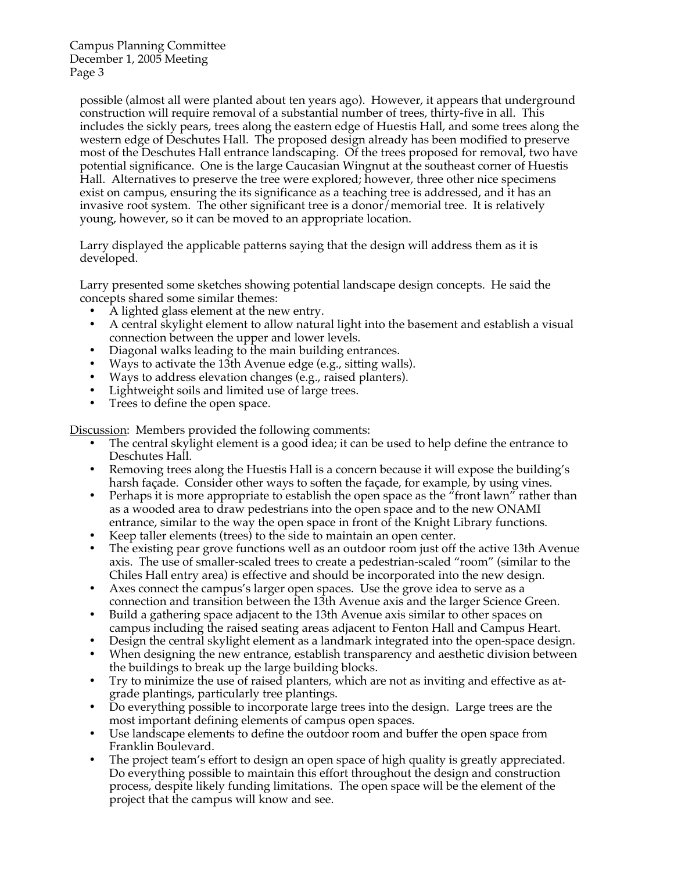Campus Planning Committee December 1, 2005 Meeting Page 3

possible (almost all were planted about ten years ago). However, it appears that underground construction will require removal of a substantial number of trees, thirty-five in all. This includes the sickly pears, trees along the eastern edge of Huestis Hall, and some trees along the western edge of Deschutes Hall. The proposed design already has been modified to preserve most of the Deschutes Hall entrance landscaping. Of the trees proposed for removal, two have potential significance. One is the large Caucasian Wingnut at the southeast corner of Huestis Hall. Alternatives to preserve the tree were explored; however, three other nice specimens exist on campus, ensuring the its significance as a teaching tree is addressed, and it has an invasive root system. The other significant tree is a donor/memorial tree. It is relatively young, however, so it can be moved to an appropriate location.

Larry displayed the applicable patterns saying that the design will address them as it is developed.

Larry presented some sketches showing potential landscape design concepts. He said the concepts shared some similar themes:

- A lighted glass element at the new entry.
- A central skylight element to allow natural light into the basement and establish a visual connection between the upper and lower levels.
- Diagonal walks leading to the main building entrances.
- Ways to activate the 13th Avenue edge (e.g., sitting walls).
- Ways to address elevation changes (e.g., raised planters).
- Lightweight soils and limited use of large trees.
- Trees to define the open space.

Discussion: Members provided the following comments:

- The central skylight element is a good idea; it can be used to help define the entrance to Deschutes Hall.
- Removing trees along the Huestis Hall is a concern because it will expose the building's harsh façade. Consider other ways to soften the façade, for example, by using vines.
- Perhaps it is more appropriate to establish the open space as the "front lawn" rather than as a wooded area to draw pedestrians into the open space and to the new ONAMI entrance, similar to the way the open space in front of the Knight Library functions.
- Keep taller elements (trees) to the side to maintain an open center.
- The existing pear grove functions well as an outdoor room just off the active 13th Avenue axis. The use of smaller-scaled trees to create a pedestrian-scaled "room" (similar to the Chiles Hall entry area) is effective and should be incorporated into the new design.
- Axes connect the campus's larger open spaces. Use the grove idea to serve as a connection and transition between the 13th Avenue axis and the larger Science Green.
- Build a gathering space adjacent to the 13th Avenue axis similar to other spaces on campus including the raised seating areas adjacent to Fenton Hall and Campus Heart.
- Design the central skylight element as a landmark integrated into the open-space design.
- When designing the new entrance, establish transparency and aesthetic division between the buildings to break up the large building blocks.
- Try to minimize the use of raised planters, which are not as inviting and effective as atgrade plantings, particularly tree plantings.
- Do everything possible to incorporate large trees into the design. Large trees are the most important defining elements of campus open spaces.
- Use landscape elements to define the outdoor room and buffer the open space from Franklin Boulevard.
- The project team's effort to design an open space of high quality is greatly appreciated. Do everything possible to maintain this effort throughout the design and construction process, despite likely funding limitations. The open space will be the element of the project that the campus will know and see.